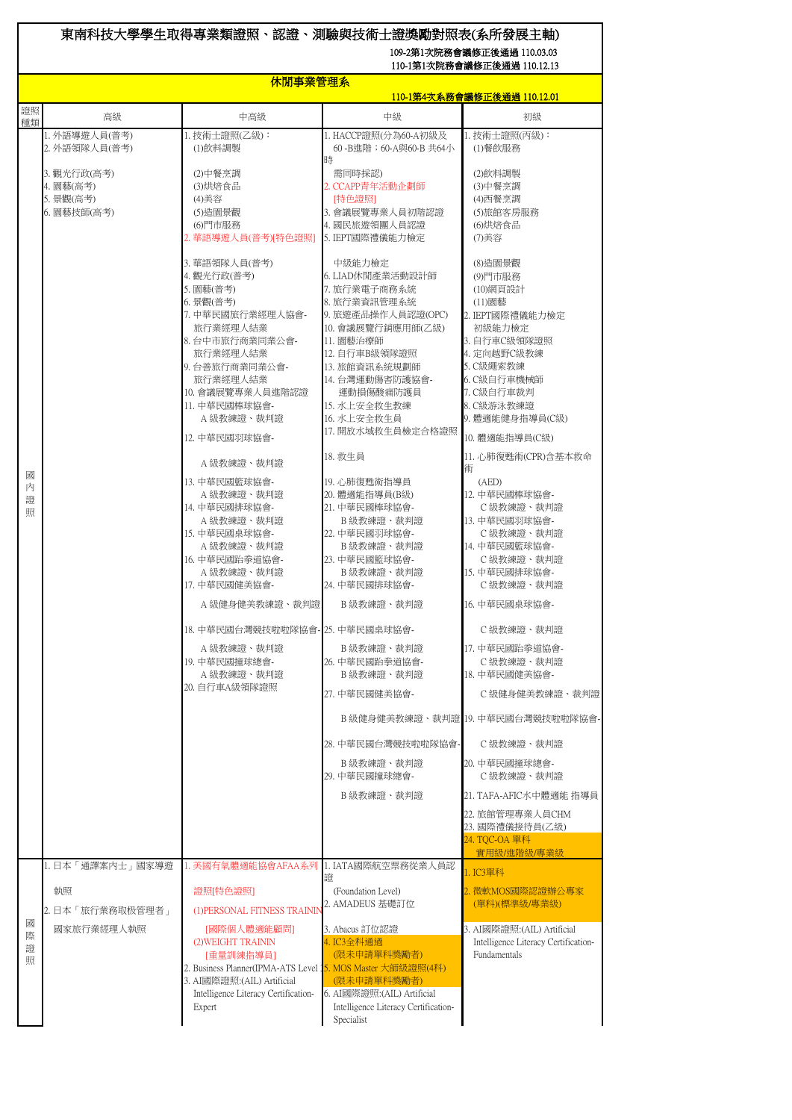## 東南科技大學學生取得專業類證照、認證、測驗與技術士證獎勵對照表(系所發展主軸) 109-2第1次院務會議修正後通過 110.03.03

110-1第1次院務會議修正後通過 110.12.13

|                  | 休閒事業管理系                                                                                |                                                                                                                                                                                                                                                                                                                                                                                                                                                                                                                                                                                                               |                                                                                                                                                                                                                                                                                                                                                                                                                                                                                                                                                                                                                                                                                                     |                                                                                                                                                                                                                                                                                                                                                                                                                                                                                                                                                                                                                                                                                                                                                |  |
|------------------|----------------------------------------------------------------------------------------|---------------------------------------------------------------------------------------------------------------------------------------------------------------------------------------------------------------------------------------------------------------------------------------------------------------------------------------------------------------------------------------------------------------------------------------------------------------------------------------------------------------------------------------------------------------------------------------------------------------|-----------------------------------------------------------------------------------------------------------------------------------------------------------------------------------------------------------------------------------------------------------------------------------------------------------------------------------------------------------------------------------------------------------------------------------------------------------------------------------------------------------------------------------------------------------------------------------------------------------------------------------------------------------------------------------------------------|------------------------------------------------------------------------------------------------------------------------------------------------------------------------------------------------------------------------------------------------------------------------------------------------------------------------------------------------------------------------------------------------------------------------------------------------------------------------------------------------------------------------------------------------------------------------------------------------------------------------------------------------------------------------------------------------------------------------------------------------|--|
|                  |                                                                                        |                                                                                                                                                                                                                                                                                                                                                                                                                                                                                                                                                                                                               |                                                                                                                                                                                                                                                                                                                                                                                                                                                                                                                                                                                                                                                                                                     | <u>110-1第4次系務會議修正後通過 110.12.01</u>                                                                                                                                                                                                                                                                                                                                                                                                                                                                                                                                                                                                                                                                                                             |  |
| 證照<br>種類         | 高級                                                                                     | 中高級                                                                                                                                                                                                                                                                                                                                                                                                                                                                                                                                                                                                           | 中級                                                                                                                                                                                                                                                                                                                                                                                                                                                                                                                                                                                                                                                                                                  | 初級                                                                                                                                                                                                                                                                                                                                                                                                                                                                                                                                                                                                                                                                                                                                             |  |
| 國<br>內<br>證<br>照 | 1. 外語導遊人員(普考)<br>2. 外語領隊人員(普考)<br>3. 觀光行政(高考)<br>4. 園藝(高考)<br>5. 景觀(高考)<br>6. 園藝技師(高考) | 1. 技術士證照(乙級):<br>(1)飲料調製<br>(2)中餐烹調<br>(3)烘焙食品<br>(4)美容<br>(5)造園景觀<br>(6)門市服務<br>2. 華語導遊人員(普考)[特色證照]<br>3. 華語領隊人員(普考)<br>4. 觀光行政(普考)<br>5. 園藝(普考)<br>6. 景觀(普考)<br>7. 中華民國旅行業經理人協會-<br>旅行業經理人結業<br>8. 台中市旅行商業同業公會-<br>旅行業經理人結業<br>9. 台善旅行商業同業公會-<br>旅行業經理人結業<br>10. 會議展覽專業人員進階認證<br>11. 中華民國棒球協會-<br>A級教練證、裁判證<br>12. 中華民國羽球協會-<br>A 級教練證、裁判證<br>13. 中華民國籃球協會-<br>A 級教練證、裁判證<br>14. 中華民國排球協會-<br>A 級教練證、裁判證<br>15. 中華民國桌球協會-<br>A 級教練證、裁判證<br>16. 中華民國跆拳道協會-<br>A 級教練證、裁判證<br>17. 中華民國健美協會-<br>A 級健身健美教練證、裁判證<br>18. 中華民國台灣競技啦啦隊協會- 25. 中華民國桌球協會-<br>A 級教練證、裁判證<br>19. 中華民國撞球總會-<br>A級教練證、裁判證<br>20. 自行車A級領隊證照 | 1. HACCP證照(分為60-A初級及<br>60-B谁階; 60-A與60-B 共64小<br>時<br>需同時採認)<br>2. CCAPP青年活動企劃師<br>[特色證照]<br>3. 會議展覽專業人員初階認證<br>4. 國民旅遊領團人員認證<br>5. IEPT國際禮儀能力檢定<br>中級能力檢定<br>6. LIAD休閒產業活動設計師<br>7. 旅行業電子商務系統<br>8. 旅行業資訊管理系統<br>9. 旅遊產品操作人員認證(OPC)<br>10. 會議展覽行銷應用師(乙級)<br>11. 園藝治療師<br>12. 自行車B級領隊證照<br>13. 旅館資訊系統規劃師<br>14. 台灣運動傷害防護協會-<br>運動損傷酸痛防護員<br>15. 水上安全救生教練<br>16. 水上安全救生員<br>17. 開放水域救生員檢定合格證照<br>18. 救生員<br>19. 心肺復甦術指導員<br>20. 體適能指導員(B級)<br>21. 中華民國棒球協會-<br>B級教練證、裁判證<br>22. 中華民國羽球協會-<br>B級教練證、裁判證<br>23. 中華民國籃球協會-<br>B級教練證、裁判證<br>24. 中華民國排球協會-<br>B級教練證、裁判證<br>B 級教練證、裁判證<br>26. 中華民國跆拳道協會-<br>B級教練證、裁判證<br>27. 中華民國健美協會-<br>28. 中華民國台灣競技啦啦隊協會-<br>B 級教練證、裁判證<br>29. 中華民國撞球總會-<br>B 級教練證、裁判證 | 1. 技術士證照(丙級):<br>(1)餐飲服務<br>(2)飲料調製<br>(3)中餐烹調<br>(4)西餐烹調<br>(5)旅館客房服務<br>(6)烘焙食品<br>(7) 美容<br>(8) 造園景觀<br>(9)門市服務<br>(10) 網頁設計<br>(11)園藝<br>2. IEPT國際禮儀能力檢定<br>初級能力檢定<br>3. 自行車C級領隊證照<br>4. 定向越野C級教練<br>5. C級繩索教練<br>6. C級自行車機械師<br>7. C級自行車裁判<br>8. C級游泳教練證<br>9. 體適能健身指導員(C級)<br>10. 體適能指導員(C級)<br>11. 心肺復甦術(CPR)含基本救命<br>術<br>(AED)<br>12. 中華民國棒球協會-<br>C級教練證、裁判證<br>13. 中華民國羽球協會-<br>C級教練證、裁判證<br>14. 中華民國籃球協會-<br>C級教練證、裁判證<br>15. 中華民國排球協會-<br>C級教練證、裁判證<br>16. 中華民國桌球協會-<br>C級教練證、裁判證<br>17. 中華民國跆拳道協會-<br>C級教練證、裁判證<br>18. 中華民國健美協會-<br>C級健身健美教練證、裁判證<br>B 級健身健美教練證、裁判證 19. 中華民國台灣競技啦啦隊協會-<br>C級教練證、裁判證<br>20. 中華民國撞球總會-<br>C級教練證、裁判證<br>21. TAFA-AFIC水中體適能 指導員<br>22. 旅館管理專業人員CHM<br>23. 國際禮儀接待員(乙級)<br>24. TOC-OA 單科<br>實用級/進階級/專業級 |  |
| 國<br>際<br>證<br>照 | 1. 日本「通譯案内士」國家導遊<br>執照<br>2. 日本「旅行業務取极管理者」<br>國家旅行業經理人執照                               | 1. 美國有氧體適能協會AFAA系列  <br>證照[特色證照]<br>(1) PERSONAL FITNESS TRAININ<br>[國際個人體適能顧問]<br>(2) WEIGHT TRAININ<br>[重量訓練指導員]<br>2. Business Planner(IPMA-ATS Level 15. MOS Master 大師級證照(4科)<br>3. AI國際證照:(AIL) Artificial<br>Intelligence Literacy Certification-<br>Expert                                                                                                                                                                                                                                                                                                                                             | 1. IATA國際航空票務從業人員認<br>證<br>(Foundation Level)<br>2. AMADEUS 基礎訂位<br>3. Abacus 訂位認證<br>4. IC3全科通過<br>(限未申請單科獎勵者)<br>(限未申請單科獎勵者)<br>6. AI國際證照: (AIL) Artificial<br>Intelligence Literacy Certification-<br>Specialist                                                                                                                                                                                                                                                                                                                                                                                                                                                                                 | 1. IC3單科<br>2. 微軟MOS國際認證辦公專家<br>(單科)(標準級/專業級)<br>3. AI國際證照:(AIL) Artificial<br>Intelligence Literacy Certification-<br>Fundamentals                                                                                                                                                                                                                                                                                                                                                                                                                                                                                                                                                                                                            |  |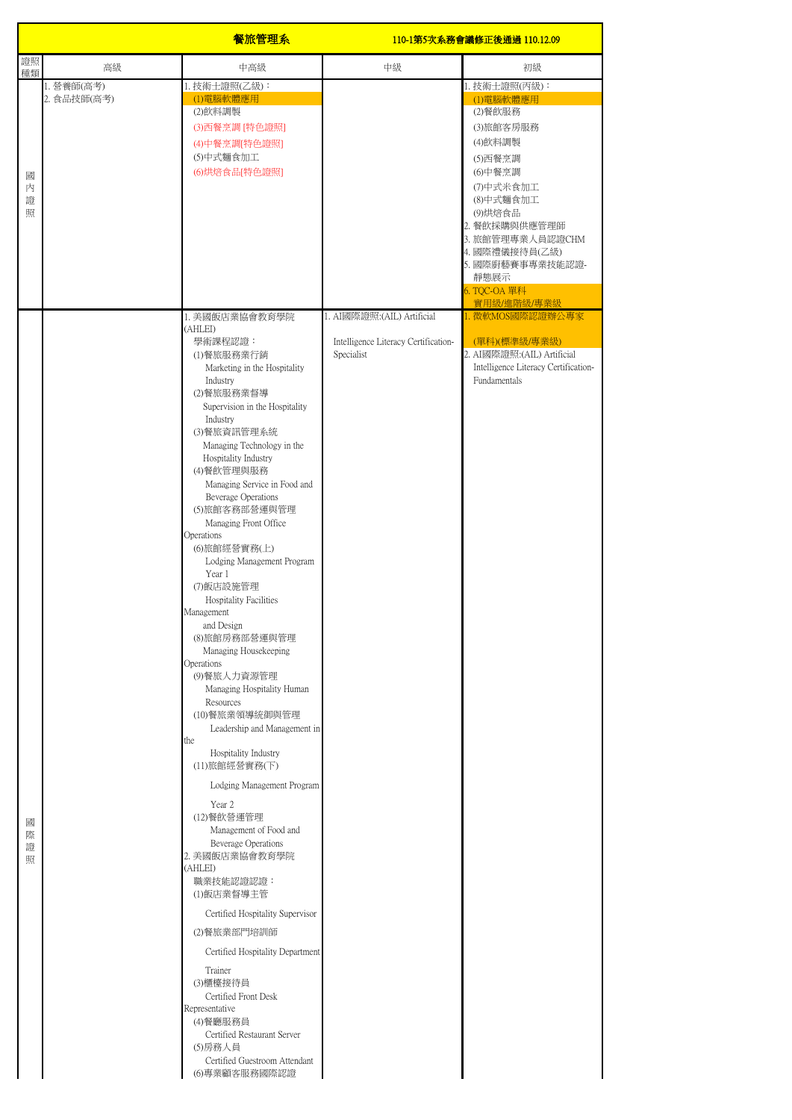|                  |                           | 餐旅管理系                                                                                                                                                                                                                                                                                                                                                                                                                                                                                                                                                                                                                                                                                                                                                                                                                                                                                                                                                                                                                                                                                                                                      | 110-1第5次系務會議修正後通過 110.12.09                                                       |                                                                                                                                                                                                                                            |
|------------------|---------------------------|--------------------------------------------------------------------------------------------------------------------------------------------------------------------------------------------------------------------------------------------------------------------------------------------------------------------------------------------------------------------------------------------------------------------------------------------------------------------------------------------------------------------------------------------------------------------------------------------------------------------------------------------------------------------------------------------------------------------------------------------------------------------------------------------------------------------------------------------------------------------------------------------------------------------------------------------------------------------------------------------------------------------------------------------------------------------------------------------------------------------------------------------|-----------------------------------------------------------------------------------|--------------------------------------------------------------------------------------------------------------------------------------------------------------------------------------------------------------------------------------------|
| 證照<br>種類         | 高級                        | 中高級                                                                                                                                                                                                                                                                                                                                                                                                                                                                                                                                                                                                                                                                                                                                                                                                                                                                                                                                                                                                                                                                                                                                        | 中級                                                                                | 初級                                                                                                                                                                                                                                         |
| 國<br>内<br>證<br>照 | 1. 營養師(高考)<br>2. 食品技師(高考) | 1. 技術士證照(乙級):<br>(1)電腦軟體應用<br>(2)飲料調製<br>(3)西餐烹調 [特色證照]<br>(4)中餐烹調[特色證照]<br>(5)中式麵食加工<br>(6)烘焙食品[特色證照]                                                                                                                                                                                                                                                                                                                                                                                                                                                                                                                                                                                                                                                                                                                                                                                                                                                                                                                                                                                                                                     |                                                                                   | 1. 技術士證照(丙級):<br>(1)電腦軟體應用<br>(2)餐飲服務<br>(3)旅館客房服務<br>(4)飲料調製<br>(5)西餐烹調<br>(6)中餐烹調<br>(7)中式米食加工<br>(8)中式麵食加工<br>(9)烘焙食品<br>2. 餐飲採購與供應管理師<br>3. 旅館管理專業人員認證CHM<br>4. 國際禮儀接待員(乙級)<br>5. 國際廚藝賽事專業技能認證-<br>靜態展示<br>6. TQC-OA 單科<br>實用級/進階級/專業級 |
| 國<br>際<br>證<br>照 |                           | 1. 美國飯店業協會教育學院<br>(AHLEI)<br>學術課程認證:<br>(1)餐旅服務業行銷<br>Marketing in the Hospitality<br>Industry<br>(2)餐旅服務業督導<br>Supervision in the Hospitality<br>Industry<br>(3)餐旅資訊管理系統<br>Managing Technology in the<br>Hospitality Industry<br>(4)餐飲管理與服務<br>Managing Service in Food and<br>Beverage Operations<br>(5)旅館客務部營運與管理<br>Managing Front Office<br>Operations<br>(6)旅館經營實務(上)<br>Lodging Management Program<br>Year 1<br>(7)飯店設施管理<br>Hospitality Facilities<br>Management<br>and Design<br>(8)旅館房務部營運與管理<br>Managing Housekeeping<br>Operations<br>(9)餐旅人力資源管理<br>Managing Hospitality Human<br>Resources<br>(10)餐旅業領導統御與管理<br>Leadership and Management in<br>the<br>Hospitality Industry<br>(11)旅館經營實務(下)<br>Lodging Management Program<br>Year 2<br>(12)餐飲營運管理<br>Management of Food and<br>Beverage Operations<br>2. 美國飯店業協會教育學院<br>(AHLEI)<br>職業技能認證認證:<br>(1)飯店業督導主管<br>Certified Hospitality Supervisor<br>(2)餐旅業部門培訓師<br>Certified Hospitality Department<br>Trainer<br>(3)櫃檯接待員<br>Certified Front Desk<br>Representative<br>(4)餐廳服務員<br>Certified Restaurant Server<br>(5)房務人員<br>Certified Guestroom Attendant<br>(6)專業顧客服務國際認證 | 1. AI國際證照: (AIL) Artificial<br>Intelligence Literacy Certification-<br>Specialist | 1. 微軟MOS國際認證辦公專家<br>(單科)(標準級/專業級)<br>2. AI國際證照:(AIL) Artificial<br>Intelligence Literacy Certification-<br>Fundamentals                                                                                                                    |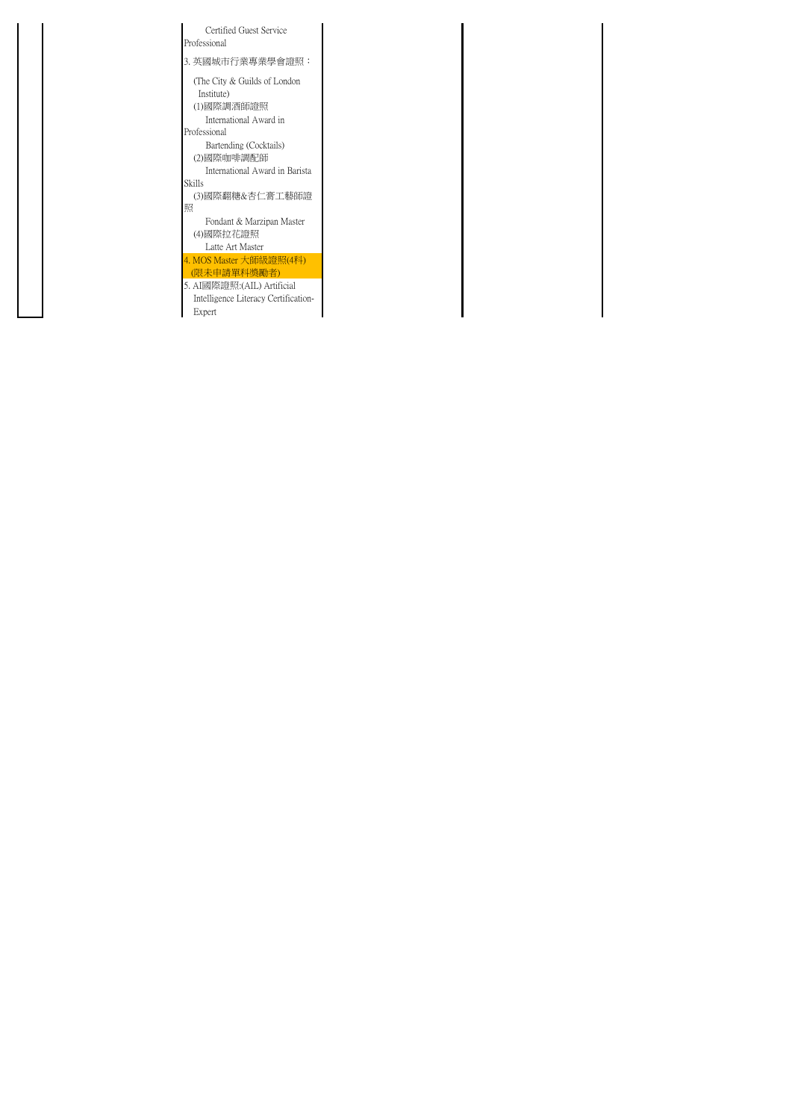| Certified Guest Service<br>Professional                                                             |
|-----------------------------------------------------------------------------------------------------|
| 3. 英國城市行業專業學會證照:                                                                                    |
| (The City & Guilds of London)<br>Institute)<br>(1)國際調酒師證照<br>International Award in<br>Professional |
| Bartending (Cocktails)<br>(2)國際咖啡調配師<br>International Award in Barista                              |
| <b>Skills</b>                                                                                       |
| (3)國際翻糖&杏仁膏工藝師證<br>照                                                                                |
| Fondant & Marzipan Master<br>(4)國際拉花證照<br>Latte Art Master                                          |
| 4. MOS Master 大師級證照(4科)<br>(限未申請單科獎勵者)                                                              |
| 5. AI國際證照: (AIL) Artificial<br>Intelligence Literacy Certification-<br>Expert                       |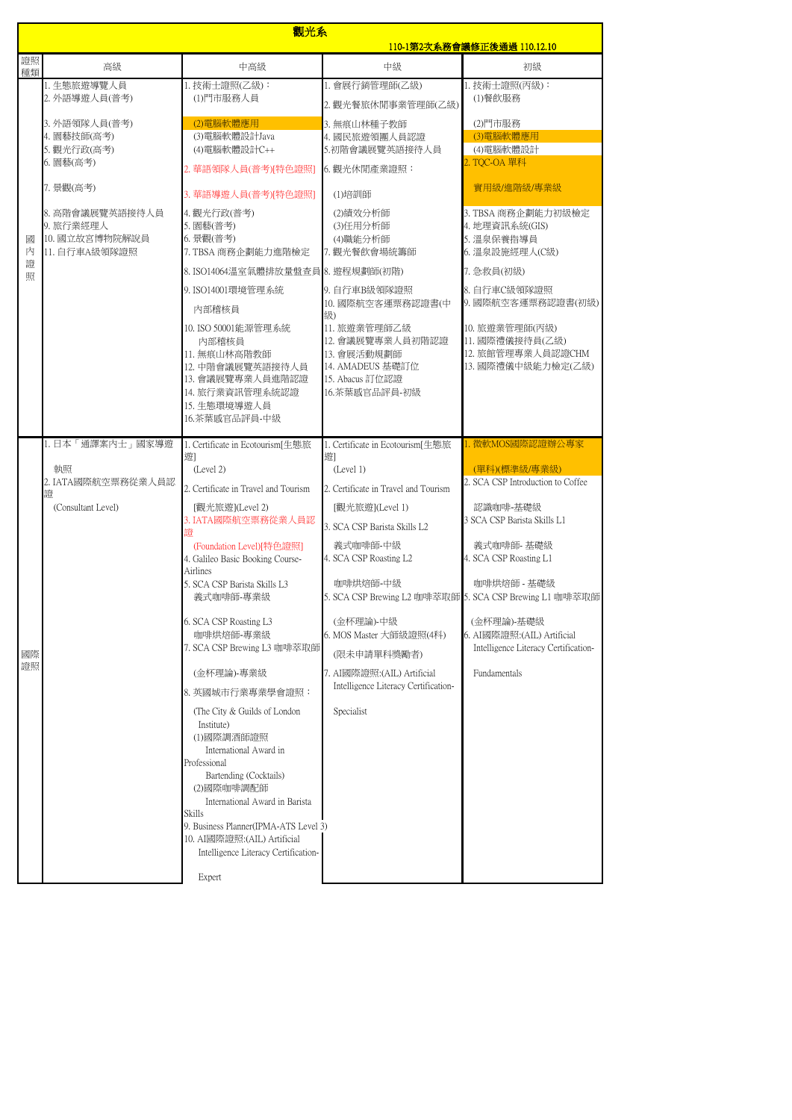|          |                              | 觀光系                                                                  |                                                                     |                                                                        |  |
|----------|------------------------------|----------------------------------------------------------------------|---------------------------------------------------------------------|------------------------------------------------------------------------|--|
| 證照       |                              |                                                                      | <u>110-1第2次系務會議修正後通過 110.12.10</u>                                  |                                                                        |  |
| 種類       | 高級                           | 中高級                                                                  | 中級                                                                  | 初級                                                                     |  |
|          | 1. 生態旅遊導覽人員<br>2. 外語導遊人員(普考) | 1. 技術士證照(乙級):<br>(1)門市服務人員                                           | 1. 會展行銷管理師(乙級)                                                      | 1. 技術士證照(丙級):<br>(1)餐飲服務                                               |  |
|          |                              |                                                                      | 2. 觀光餐旅休閒事業管理師(乙級)                                                  |                                                                        |  |
|          | 3. 外語領隊人員(普考)<br>4. 園藝技師(高考) | (2)電腦軟體應用<br>(3)電腦軟體設計Java                                           | 3. 無痕山林種子教師<br>4. 國民旅遊領團人員認證                                        | (2)門市服務<br>(3)電腦軟體應用                                                   |  |
|          | 5. 觀光行政(高考)                  | (4) 電腦軟體設計C++                                                        | 5.初階會議展覽英語接待人員                                                      | (4)電腦軟體設計                                                              |  |
|          | 6. 園藝(高考)                    | 2. 華語領隊人員(普考)[特色證照]                                                  | 6. 觀光休閒產業證照:                                                        | 2. TOC-OA 單科                                                           |  |
|          | 7. 景觀(高考)                    | 3. 華語導遊人員(普考)[特色證照]                                                  | (1)培訓師                                                              | 實用級/進階級/專業級                                                            |  |
|          | 8. 高階會議展覽英語接待人員              | 4. 觀光行政(普考)                                                          | (2)績效分析師                                                            | 3. TBSA 商務企劃能力初級檢定                                                     |  |
| 國        | 9. 旅行業經理人<br>10. 國立故宮博物院解說員  | 5. 園藝(普考)<br>6. 景觀(普考)                                               | (3)任用分析師<br>(4)職能分析師                                                | 4. 地理資訊系統(GIS)<br>5. 溫泉保養指導員                                           |  |
| 內        | 11. 自行車A級領隊證照                | 7. TBSA 商務企劃能力進階檢定                                                   | 7. 觀光餐飲會場統籌師                                                        | 6. 溫泉設施經理人(C級)                                                         |  |
| 證<br>照   |                              | 8.ISO14064溫室氣體排放量盤查員 8. 遊程規劃師(初階)                                    |                                                                     | 7. 急救員(初級)                                                             |  |
|          |                              | 9. ISO14001環境管理系統                                                    | 9. 自行車B級領隊證照                                                        | 8. 自行車C級領隊證照                                                           |  |
|          |                              | 内部稽核員                                                                | 10. 國際航空客運票務認證書(中<br>级)                                             | 9. 國際航空客運票務認證書(初級)                                                     |  |
|          |                              | 10. ISO 50001能源管理系統                                                  | 11. 旅遊業管理師乙級                                                        | 10. 旅遊業管理師(丙級)                                                         |  |
|          |                              | 内部稽核員<br>11. 無痕山林高階教師                                                | 12. 會議展覽專業人員初階認證<br>13. 會展活動規劃師                                     | 11. 國際禮儀接待員(乙級)<br>12. 旅館管理專業人員認證CHM                                   |  |
|          |                              | 12. 中階會議展覽英語接待人員                                                     | 14. AMADEUS 基礎訂位                                                    | 13. 國際禮儀中級能力檢定(乙級)                                                     |  |
|          |                              | 13. 會議展覽專業人員進階認證<br>14. 旅行業資訊管理系統認證                                  | 15. Abacus 訂位認證<br>16.茶葉感官品評員-初級                                    |                                                                        |  |
|          |                              | 15. 生態環境導游人員                                                         |                                                                     |                                                                        |  |
|          |                              | 16.茶葉感官品評員-中級                                                        |                                                                     |                                                                        |  |
|          | 1. 日本「通譯案內士」國家導遊             | 1. Certificate in Ecotourism[生態旅                                     | 1. Certificate in Ecotourism[生態旅                                    | 1. 微軟MOS國際認證辦公專家                                                       |  |
|          | 執照                           | 遊<br>(Level 2)                                                       | 遊1<br>(Level 1)                                                     | (單科)(標準級/專業級)                                                          |  |
|          | 2. IATA國際航空票務從業人員認<br>證      | 2. Certificate in Travel and Tourism                                 | 2. Certificate in Travel and Tourism                                | 2. SCA CSP Introduction to Coffee                                      |  |
|          | (Consultant Level)           | [觀光旅遊](Level 2)                                                      | [觀光旅遊](Level 1)                                                     | 認識咖啡-基礎級                                                               |  |
|          |                              | 3. IATA國際航空票務從業人員認<br>證                                              | 3. SCA CSP Barista Skills L2                                        | 3 SCA CSP Barista Skills L1                                            |  |
|          |                              | (Foundation Level)[特色證照]<br>4. Galileo Basic Booking Course-         | 義式咖啡師-中級<br>4. SCA CSP Roasting L2                                  | 義式咖啡師 基礎級<br>4. SCA CSP Roasting L1                                    |  |
|          |                              | Airlines                                                             |                                                                     |                                                                        |  |
|          |                              | 5. SCA CSP Barista Skills L3<br>義式咖啡師-專業級                            | 咖啡烘焙師-中級                                                            | 咖啡烘焙師 - 基礎級<br>5. SCA CSP Brewing L2 咖啡萃取師 5. SCA CSP Brewing L1 咖啡萃取師 |  |
|          |                              | 6. SCA CSP Roasting L3                                               | (金杯理論)-中級                                                           | (金杯理論)-基礎級                                                             |  |
|          |                              | 咖啡烘焙師-專業級<br>7. SCA CSP Brewing L3 咖啡萃取師                             | 6. MOS Master 大師級證照(4科)                                             | 6. AI國際證照:(AIL) Artificial<br>Intelligence Literacy Certification-     |  |
| 國際<br>證照 |                              |                                                                      | (限未申請單科獎勵者)                                                         |                                                                        |  |
|          |                              | (金杯理論)-專業級                                                           | 7. AI國際證照: (AIL) Artificial<br>Intelligence Literacy Certification- | Fundamentals                                                           |  |
|          |                              | 8. 英國城市行業專業學會證照:                                                     |                                                                     |                                                                        |  |
|          |                              | (The City & Guilds of London)<br>Institute)                          | Specialist                                                          |                                                                        |  |
|          |                              | (1)國際調酒師證照                                                           |                                                                     |                                                                        |  |
|          |                              | International Award in<br>Professional                               |                                                                     |                                                                        |  |
|          |                              | Bartending (Cocktails)                                               |                                                                     |                                                                        |  |
|          |                              | (2)國際咖啡調配師                                                           |                                                                     |                                                                        |  |
|          |                              | International Award in Barista<br>Skills                             |                                                                     |                                                                        |  |
|          |                              | 9. Business Planner(IPMA-ATS Level 3)<br>10. AI國際證照:(AIL) Artificial |                                                                     |                                                                        |  |
|          |                              | Intelligence Literacy Certification-                                 |                                                                     |                                                                        |  |
|          |                              |                                                                      |                                                                     |                                                                        |  |
|          |                              | Expert                                                               |                                                                     |                                                                        |  |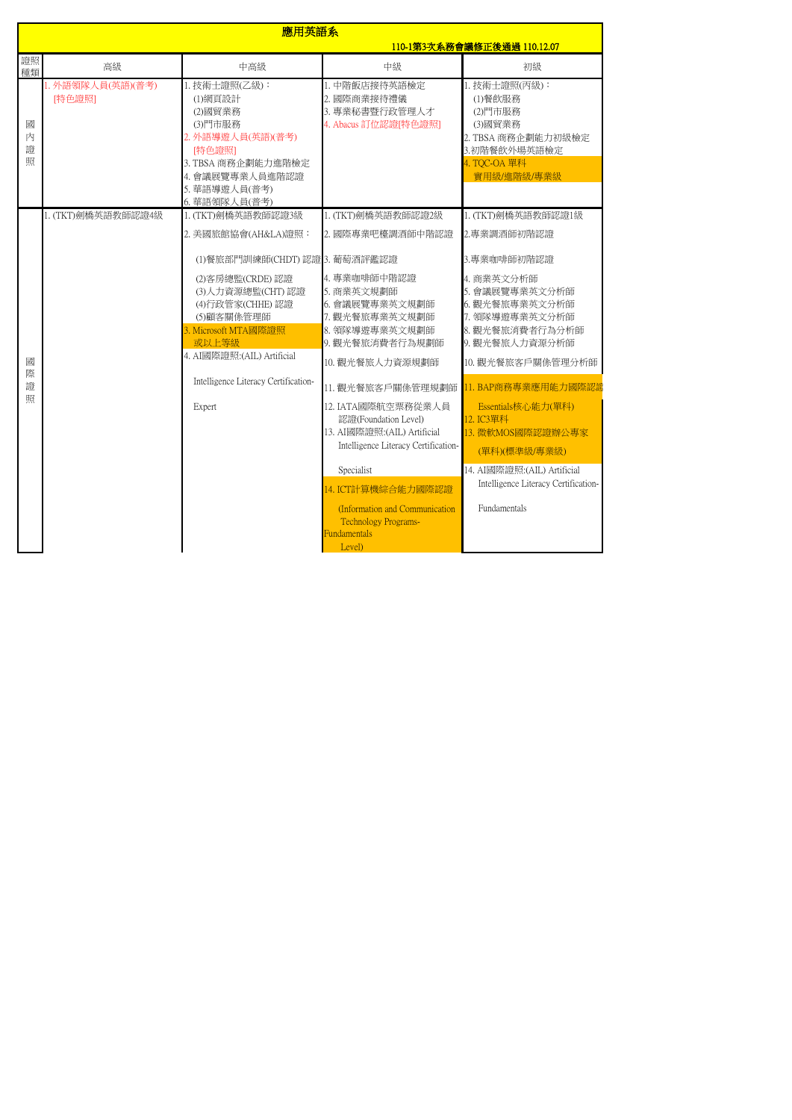|                  | 應用英語系                      |                                                                                                                                                                         |                                                                                                                                                       |                                                                                                                                           |  |
|------------------|----------------------------|-------------------------------------------------------------------------------------------------------------------------------------------------------------------------|-------------------------------------------------------------------------------------------------------------------------------------------------------|-------------------------------------------------------------------------------------------------------------------------------------------|--|
|                  |                            |                                                                                                                                                                         |                                                                                                                                                       | 110-1第3次系務會議修正後通過 110.12.07                                                                                                               |  |
| 證照<br>種類         | 高級                         | 中高級                                                                                                                                                                     | 中級                                                                                                                                                    | 初級                                                                                                                                        |  |
| 國<br>内<br>證<br>照 | . 外語領隊人員(英語)(普考)<br>[特色證照] | 1. 技術士證照(乙級):<br>(1)網頁設計<br>(2)國貿業務<br>(3)門市服務<br>2. 外語導游人員(英語)(普考)<br>[特色證照]<br>3. TBSA 商務企劃能力進階檢定<br>4. 會議展覽專業人員進階認證<br>5. 華語導遊人員(普考)<br>6. 華語領隊人員(普考)                | 1. 中階飯店接待英語檢定<br>2. 國際商業接待禮儀<br>3. 專業秘書暨行政管理人才<br>4. Abacus 訂位認證[特色證照]                                                                                | 1. 技術士證照(丙級):<br>(1)餐飲服務<br>(2)門市服務<br>(3)國貿業務<br>2. TBSA 商務企劃能力初級檢定<br>3.初階餐飲外場英語檢定<br>4. TQC-OA 單科<br>實用級/進階級/專業級                       |  |
| 國<br>際<br>證<br>照 | 1. (TKT)劍橋英語教師認證4級         | 1. (TKT)劍橋英語教師認證3級<br>2. 美國旅館協會(AH&LA)證照:                                                                                                                               | 1. (TKT)劍橋英語教師認證2級<br>2. 國際專業吧檯調酒師中階認證                                                                                                                | 1. (TKT)劍橋英語教師認證1級<br>2.專業調酒師初階認證                                                                                                         |  |
|                  |                            | (1)餐旅部門訓練師(CHDT)認證 3. 葡萄酒評鑑認證<br>(2) 客房總監(CRDE) 認證<br>(3)人力資源總監(CHT)認證<br>(4)行政管家(CHHE)認證<br>(5)顧客關係管理師<br>3. Microsoft MTA國際證照<br>或以上等級<br>4. AI國際證照: (AIL) Artificial | 4. 專業咖啡師中階認證<br>5. 商業英文規劃師<br>6. 會議展覽專業英文規劃師<br>7. 觀光餐旅專業英文規劃師<br>8. 領隊導遊專業英文規劃師<br>9. 觀光餐旅消費者行為規劃師<br>10. 觀光餐旅人力資源規劃師                                | 3.專業咖啡師初階認證<br>4. 商業英文分析師<br>5. 會議展覽專業英文分析師<br>6. 觀光餐旅專業英文分析師<br>7. 領隊導遊專業英文分析師<br>8. 觀光餐旅消費者行為分析師<br>9. 觀光餐旅人力資源分析師<br>10. 觀光餐旅客戶關係管理分析師 |  |
|                  |                            | Intelligence Literacy Certification-<br>Expert                                                                                                                          | 11. 觀光餐旅客戶關係管理規劃師<br>12. IATA國際航空票務從業人員<br>認證(Foundation Level)<br>13. AI國際證照: (AIL) Artificial<br>Intelligence Literacy Certification-<br>Specialist | 11. BAP商務專業應用能力國際認證<br>Essentials核心能力(單科)<br>12. IC3單科<br>13. 微軟MOS國際認證辦公專家<br>(單科)(標準級/專業級)<br>14. AI國際證照: (AIL) Artificial              |  |
|                  |                            |                                                                                                                                                                         | 14. ICT計算機綜合能力國際認證<br>(Information and Communication<br><b>Technology Programs-</b><br>Fundamentals<br>Level)                                         | Intelligence Literacy Certification-<br>Fundamentals                                                                                      |  |